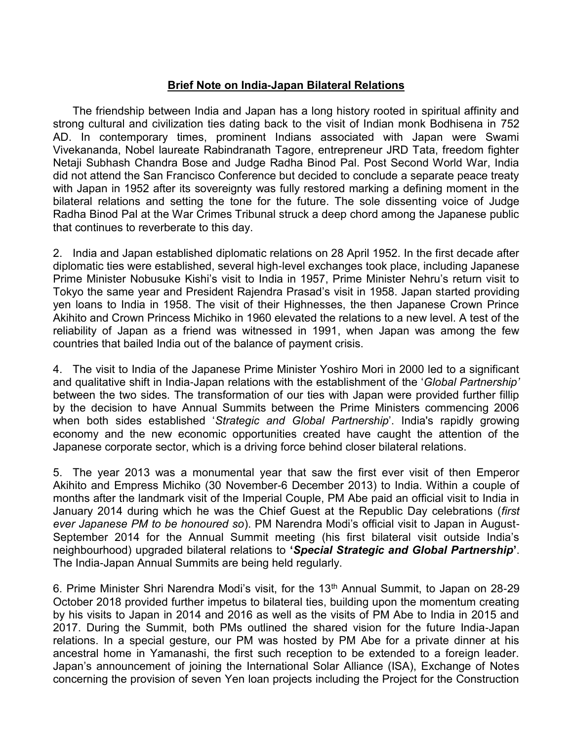## **Brief Note on India-Japan Bilateral Relations**

The friendship between India and Japan has a long history rooted in spiritual affinity and strong cultural and civilization ties dating back to the visit of Indian monk Bodhisena in 752 AD. In contemporary times, prominent Indians associated with Japan were Swami Vivekananda, Nobel laureate Rabindranath Tagore, entrepreneur JRD Tata, freedom fighter Netaji Subhash Chandra Bose and Judge Radha Binod Pal. Post Second World War, India did not attend the San Francisco Conference but decided to conclude a separate peace treaty with Japan in 1952 after its sovereignty was fully restored marking a defining moment in the bilateral relations and setting the tone for the future. The sole dissenting voice of Judge Radha Binod Pal at the War Crimes Tribunal struck a deep chord among the Japanese public that continues to reverberate to this day.

2. India and Japan established diplomatic relations on 28 April 1952. In the first decade after diplomatic ties were established, several high-level exchanges took place, including Japanese Prime Minister Nobusuke Kishi's visit to India in 1957, Prime Minister Nehru's return visit to Tokyo the same year and President Rajendra Prasad's visit in 1958. Japan started providing yen loans to India in 1958. The visit of their Highnesses, the then Japanese Crown Prince Akihito and Crown Princess Michiko in 1960 elevated the relations to a new level. A test of the reliability of Japan as a friend was witnessed in 1991, when Japan was among the few countries that bailed India out of the balance of payment crisis.

4. The visit to India of the Japanese Prime Minister Yoshiro Mori in 2000 led to a significant and qualitative shift in India-Japan relations with the establishment of the '*Global Partnership'* between the two sides. The transformation of our ties with Japan were provided further fillip by the decision to have Annual Summits between the Prime Ministers commencing 2006 when both sides established '*Strategic and Global Partnership*'. India's rapidly growing economy and the new economic opportunities created have caught the attention of the Japanese corporate sector, which is a driving force behind closer bilateral relations.

5. The year 2013 was a monumental year that saw the first ever visit of then Emperor Akihito and Empress Michiko (30 November-6 December 2013) to India. Within a couple of months after the landmark visit of the Imperial Couple, PM Abe paid an official visit to India in January 2014 during which he was the Chief Guest at the Republic Day celebrations (*first ever Japanese PM to be honoured so*). PM Narendra Modi's official visit to Japan in August-September 2014 for the Annual Summit meeting (his first bilateral visit outside India's neighbourhood) upgraded bilateral relations to **'***Special Strategic and Global Partnership***'**. The India-Japan Annual Summits are being held regularly.

6. Prime Minister Shri Narendra Modi's visit, for the 13th Annual Summit, to Japan on 28-29 October 2018 provided further impetus to bilateral ties, building upon the momentum creating by his visits to Japan in 2014 and 2016 as well as the visits of PM Abe to India in 2015 and 2017. During the Summit, both PMs outlined the shared vision for the future India-Japan relations. In a special gesture, our PM was hosted by PM Abe for a private dinner at his ancestral home in Yamanashi, the first such reception to be extended to a foreign leader. Japan's announcement of joining the International Solar Alliance (ISA), Exchange of Notes concerning the provision of seven Yen loan projects including the Project for the Construction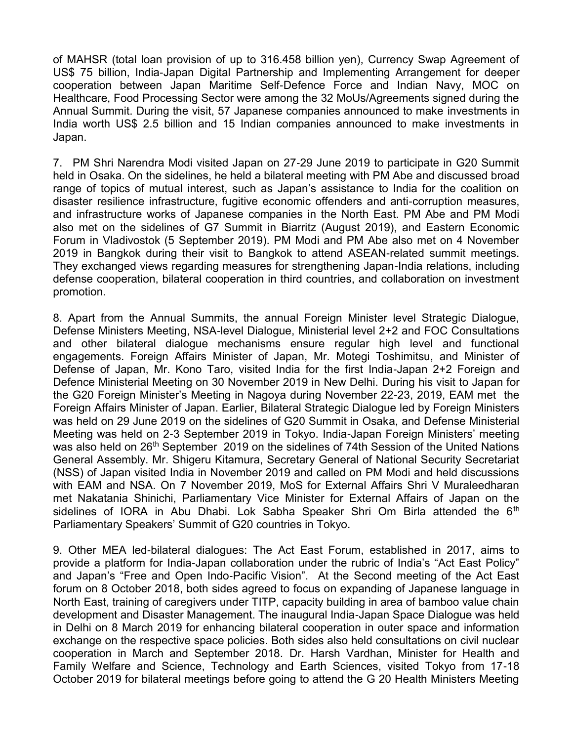of MAHSR (total loan provision of up to 316.458 billion yen), Currency Swap Agreement of US\$ 75 billion, India-Japan Digital Partnership and Implementing Arrangement for deeper cooperation between Japan Maritime Self-Defence Force and Indian Navy, MOC on Healthcare, Food Processing Sector were among the 32 MoUs/Agreements signed during the Annual Summit. During the visit, 57 Japanese companies announced to make investments in India worth US\$ 2.5 billion and 15 Indian companies announced to make investments in Japan.

7. PM Shri Narendra Modi visited Japan on 27-29 June 2019 to participate in G20 Summit held in Osaka. On the sidelines, he held a bilateral meeting with PM Abe and discussed broad range of topics of mutual interest, such as Japan's assistance to India for the coalition on disaster resilience infrastructure, fugitive economic offenders and anti-corruption measures, and infrastructure works of Japanese companies in the North East. PM Abe and PM Modi also met on the sidelines of G7 Summit in Biarritz (August 2019), and Eastern Economic Forum in Vladivostok (5 September 2019). PM Modi and PM Abe also met on 4 November 2019 in Bangkok during their visit to Bangkok to attend ASEAN-related summit meetings. They exchanged views regarding measures for strengthening Japan-India relations, including defense cooperation, bilateral cooperation in third countries, and collaboration on investment promotion.

8. Apart from the Annual Summits, the annual Foreign Minister level Strategic Dialogue, Defense Ministers Meeting, NSA-level Dialogue, Ministerial level 2+2 and FOC Consultations and other bilateral dialogue mechanisms ensure regular high level and functional engagements. Foreign Affairs Minister of Japan, Mr. Motegi Toshimitsu, and Minister of Defense of Japan, Mr. Kono Taro, visited India for the first India-Japan 2+2 Foreign and Defence Ministerial Meeting on 30 November 2019 in New Delhi. During his visit to Japan for the G20 Foreign Minister's Meeting in Nagoya during November 22-23, 2019, EAM met the Foreign Affairs Minister of Japan. Earlier, Bilateral Strategic Dialogue led by Foreign Ministers was held on 29 June 2019 on the sidelines of G20 Summit in Osaka, and Defense Ministerial Meeting was held on 2-3 September 2019 in Tokyo. India-Japan Foreign Ministers' meeting was also held on 26<sup>th</sup> September 2019 on the sidelines of 74th Session of the United Nations General Assembly. Mr. Shigeru Kitamura, Secretary General of National Security Secretariat (NSS) of Japan visited India in November 2019 and called on PM Modi and held discussions with EAM and NSA. On 7 November 2019, MoS for External Affairs Shri V Muraleedharan met Nakatania Shinichi, Parliamentary Vice Minister for External Affairs of Japan on the sidelines of IORA in Abu Dhabi. Lok Sabha Speaker Shri Om Birla attended the  $6<sup>th</sup>$ Parliamentary Speakers' Summit of G20 countries in Tokyo.

9. Other MEA led-bilateral dialogues: The Act East Forum, established in 2017, aims to provide a platform for India-Japan collaboration under the rubric of India's "Act East Policy" and Japan's "Free and Open Indo-Pacific Vision". At the Second meeting of the Act East forum on 8 October 2018, both sides agreed to focus on expanding of Japanese language in North East, training of caregivers under TITP, capacity building in area of bamboo value chain development and Disaster Management. The inaugural India-Japan Space Dialogue was held in Delhi on 8 March 2019 for enhancing bilateral cooperation in outer space and information exchange on the respective space policies. Both sides also held consultations on civil nuclear cooperation in March and September 2018. Dr. Harsh Vardhan, Minister for Health and Family Welfare and Science, Technology and Earth Sciences, visited Tokyo from 17-18 October 2019 for bilateral meetings before going to attend the G 20 Health Ministers Meeting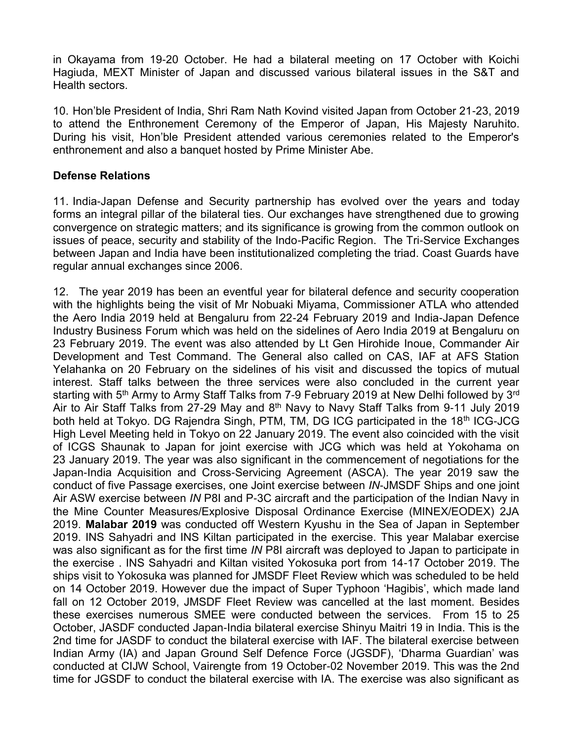in Okayama from 19-20 October. He had a bilateral meeting on 17 October with Koichi Hagiuda, MEXT Minister of Japan and discussed various bilateral issues in the S&T and Health sectors.

10. Hon'ble President of India, Shri Ram Nath Kovind visited Japan from October 21-23, 2019 to attend the Enthronement Ceremony of the Emperor of Japan, His Majesty Naruhito. During his visit, Hon'ble President attended various ceremonies related to the Emperor's enthronement and also a banquet hosted by Prime Minister Abe.

## **Defense Relations**

11. India-Japan Defense and Security partnership has evolved over the years and today forms an integral pillar of the bilateral ties. Our exchanges have strengthened due to growing convergence on strategic matters; and its significance is growing from the common outlook on issues of peace, security and stability of the Indo-Pacific Region. The Tri-Service Exchanges between Japan and India have been institutionalized completing the triad. Coast Guards have regular annual exchanges since 2006.

12. The year 2019 has been an eventful year for bilateral defence and security cooperation with the highlights being the visit of Mr Nobuaki Miyama, Commissioner ATLA who attended the Aero India 2019 held at Bengaluru from 22-24 February 2019 and India-Japan Defence Industry Business Forum which was held on the sidelines of Aero India 2019 at Bengaluru on 23 February 2019. The event was also attended by Lt Gen Hirohide Inoue, Commander Air Development and Test Command. The General also called on CAS, IAF at AFS Station Yelahanka on 20 February on the sidelines of his visit and discussed the topics of mutual interest. Staff talks between the three services were also concluded in the current year starting with 5<sup>th</sup> Army to Army Staff Talks from 7-9 February 2019 at New Delhi followed by 3<sup>rd</sup> Air to Air Staff Talks from 27-29 May and 8<sup>th</sup> Navy to Navy Staff Talks from 9-11 July 2019 both held at Tokyo. DG Rajendra Singh, PTM, TM, DG ICG participated in the 18<sup>th</sup> ICG-JCG High Level Meeting held in Tokyo on 22 January 2019. The event also coincided with the visit of ICGS Shaunak to Japan for joint exercise with JCG which was held at Yokohama on 23 January 2019. The year was also significant in the commencement of negotiations for the Japan-India Acquisition and Cross-Servicing Agreement (ASCA). The year 2019 saw the conduct of five Passage exercises, one Joint exercise between *IN*-JMSDF Ships and one joint Air ASW exercise between *IN* P8I and P-3C aircraft and the participation of the Indian Navy in the Mine Counter Measures/Explosive Disposal Ordinance Exercise (MINEX/EODEX) 2JA 2019. **Malabar 2019** was conducted off Western Kyushu in the Sea of Japan in September 2019. INS Sahyadri and INS Kiltan participated in the exercise. This year Malabar exercise was also significant as for the first time *IN* P8I aircraft was deployed to Japan to participate in the exercise . INS Sahyadri and Kiltan visited Yokosuka port from 14-17 October 2019. The ships visit to Yokosuka was planned for JMSDF Fleet Review which was scheduled to be held on 14 October 2019. However due the impact of Super Typhoon 'Hagibis', which made land fall on 12 October 2019, JMSDF Fleet Review was cancelled at the last moment. Besides these exercises numerous SMEE were conducted between the services. From 15 to 25 October, JASDF conducted Japan-India bilateral exercise Shinyu Maitri 19 in India. This is the 2nd time for JASDF to conduct the bilateral exercise with IAF. The bilateral exercise between Indian Army (IA) and Japan Ground Self Defence Force (JGSDF), 'Dharma Guardian' was conducted at CIJW School, Vairengte from 19 October-02 November 2019. This was the 2nd time for JGSDF to conduct the bilateral exercise with IA. The exercise was also significant as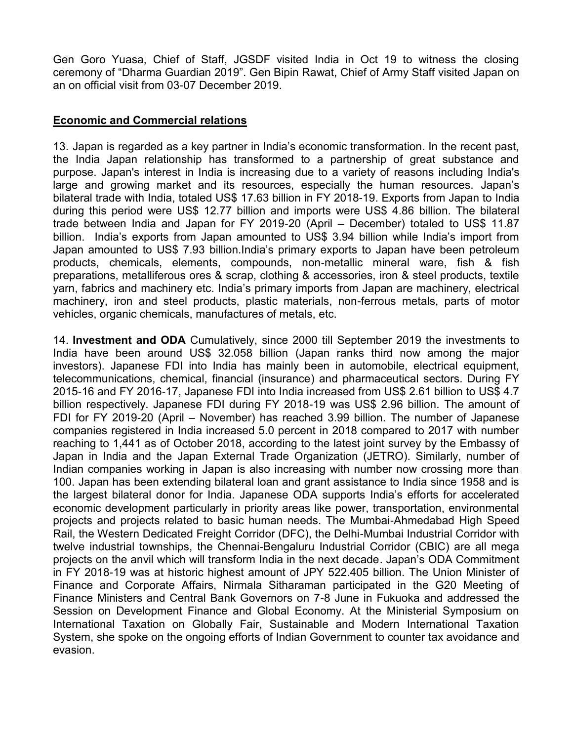Gen Goro Yuasa, Chief of Staff, JGSDF visited India in Oct 19 to witness the closing ceremony of "Dharma Guardian 2019". Gen Bipin Rawat, Chief of Army Staff visited Japan on an on official visit from 03-07 December 2019.

## **Economic and Commercial relations**

13. Japan is regarded as a key partner in India's economic transformation. In the recent past, the India Japan relationship has transformed to a partnership of great substance and purpose. Japan's interest in India is increasing due to a variety of reasons including India's large and growing market and its resources, especially the human resources. Japan's bilateral trade with India, totaled US\$ 17.63 billion in FY 2018-19. Exports from Japan to India during this period were US\$ 12.77 billion and imports were US\$ 4.86 billion. The bilateral trade between India and Japan for FY 2019-20 (April – December) totaled to US\$ 11.87 billion. India's exports from Japan amounted to US\$ 3.94 billion while India's import from Japan amounted to US\$ 7.93 billion.India's primary exports to Japan have been petroleum products, chemicals, elements, compounds, non-metallic mineral ware, fish & fish preparations, metalliferous ores & scrap, clothing & accessories, iron & steel products, textile yarn, fabrics and machinery etc. India's primary imports from Japan are machinery, electrical machinery, iron and steel products, plastic materials, non-ferrous metals, parts of motor vehicles, organic chemicals, manufactures of metals, etc.

14. **Investment and ODA** Cumulatively, since 2000 till September 2019 the investments to India have been around US\$ 32.058 billion (Japan ranks third now among the major investors). Japanese FDI into India has mainly been in automobile, electrical equipment, telecommunications, chemical, financial (insurance) and pharmaceutical sectors. During FY 2015-16 and FY 2016-17, Japanese FDI into India increased from US\$ 2.61 billion to US\$ 4.7 billion respectively. Japanese FDI during FY 2018-19 was US\$ 2.96 billion. The amount of FDI for FY 2019-20 (April – November) has reached 3.99 billion. The number of Japanese companies registered in India increased 5.0 percent in 2018 compared to 2017 with number reaching to 1,441 as of October 2018, according to the latest joint survey by the Embassy of Japan in India and the Japan External Trade Organization (JETRO). Similarly, number of Indian companies working in Japan is also increasing with number now crossing more than 100. Japan has been extending bilateral loan and grant assistance to India since 1958 and is the largest bilateral donor for India. Japanese ODA supports India's efforts for accelerated economic development particularly in priority areas like power, transportation, environmental projects and projects related to basic human needs. The Mumbai-Ahmedabad High Speed Rail, the Western Dedicated Freight Corridor (DFC), the Delhi-Mumbai Industrial Corridor with twelve industrial townships, the Chennai-Bengaluru Industrial Corridor (CBIC) are all mega projects on the anvil which will transform India in the next decade. Japan's ODA Commitment in FY 2018-19 was at historic highest amount of JPY 522.405 billion. The Union Minister of Finance and Corporate Affairs, Nirmala Sitharaman participated in the G20 Meeting of Finance Ministers and Central Bank Governors on 7-8 June in Fukuoka and addressed the Session on Development Finance and Global Economy. At the Ministerial Symposium on International Taxation on Globally Fair, Sustainable and Modern International Taxation System, she spoke on the ongoing efforts of Indian Government to counter tax avoidance and evasion.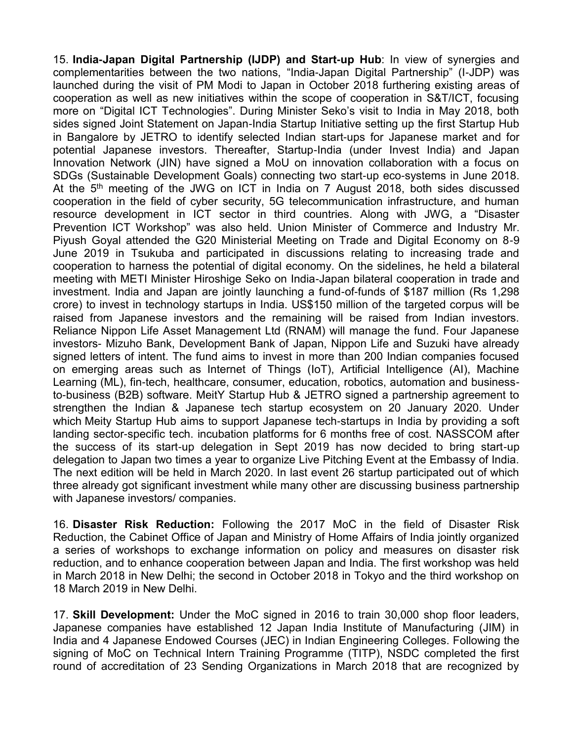15. **India-Japan Digital Partnership (IJDP) and Start-up Hub**: In view of synergies and complementarities between the two nations, "India-Japan Digital Partnership" (I-JDP) was launched during the visit of PM Modi to Japan in October 2018 furthering existing areas of cooperation as well as new initiatives within the scope of cooperation in S&T/ICT, focusing more on "Digital ICT Technologies". During Minister Seko's visit to India in May 2018, both sides signed Joint Statement on Japan-India Startup Initiative setting up the first Startup Hub in Bangalore by JETRO to identify selected Indian start-ups for Japanese market and for potential Japanese investors. Thereafter, Startup-India (under Invest India) and Japan Innovation Network (JIN) have signed a MoU on innovation collaboration with a focus on SDGs (Sustainable Development Goals) connecting two start-up eco-systems in June 2018. At the 5<sup>th</sup> meeting of the JWG on ICT in India on 7 August 2018, both sides discussed cooperation in the field of cyber security, 5G telecommunication infrastructure, and human resource development in ICT sector in third countries. Along with JWG, a "Disaster Prevention ICT Workshop" was also held. Union Minister of Commerce and Industry Mr. Piyush Goyal attended the G20 Ministerial Meeting on Trade and Digital Economy on 8-9 June 2019 in Tsukuba and participated in discussions relating to increasing trade and cooperation to harness the potential of digital economy. On the sidelines, he held a bilateral meeting with METI Minister Hiroshige Seko on India-Japan bilateral cooperation in trade and investment. India and Japan are jointly launching a fund-of-funds of \$187 million (Rs 1,298 crore) to invest in technology startups in India. US\$150 million of the targeted corpus will be raised from Japanese investors and the remaining will be raised from Indian investors. Reliance Nippon Life Asset Management Ltd (RNAM) will manage the fund. Four Japanese investors- Mizuho Bank, Development Bank of Japan, Nippon Life and Suzuki have already signed letters of intent. The fund aims to invest in more than 200 Indian companies focused on emerging areas such as Internet of Things (IoT), Artificial Intelligence (AI), Machine Learning (ML), fin-tech, healthcare, consumer, education, robotics, automation and businessto-business (B2B) software. MeitY Startup Hub & JETRO signed a partnership agreement to strengthen the Indian & Japanese tech startup ecosystem on 20 January 2020. Under which Meity Startup Hub aims to support Japanese tech-startups in India by providing a soft landing sector-specific tech. incubation platforms for 6 months free of cost. NASSCOM after the success of its start-up delegation in Sept 2019 has now decided to bring start-up delegation to Japan two times a year to organize Live Pitching Event at the Embassy of India. The next edition will be held in March 2020. In last event 26 startup participated out of which three already got significant investment while many other are discussing business partnership with Japanese investors/ companies.

16. **Disaster Risk Reduction:** Following the 2017 MoC in the field of Disaster Risk Reduction, the Cabinet Office of Japan and Ministry of Home Affairs of India jointly organized a series of workshops to exchange information on policy and measures on disaster risk reduction, and to enhance cooperation between Japan and India. The first workshop was held in March 2018 in New Delhi; the second in October 2018 in Tokyo and the third workshop on 18 March 2019 in New Delhi.

17. **Skill Development:** Under the MoC signed in 2016 to train 30,000 shop floor leaders, Japanese companies have established 12 Japan India Institute of Manufacturing (JIM) in India and 4 Japanese Endowed Courses (JEC) in Indian Engineering Colleges. Following the signing of MoC on Technical Intern Training Programme (TITP), NSDC completed the first round of accreditation of 23 Sending Organizations in March 2018 that are recognized by